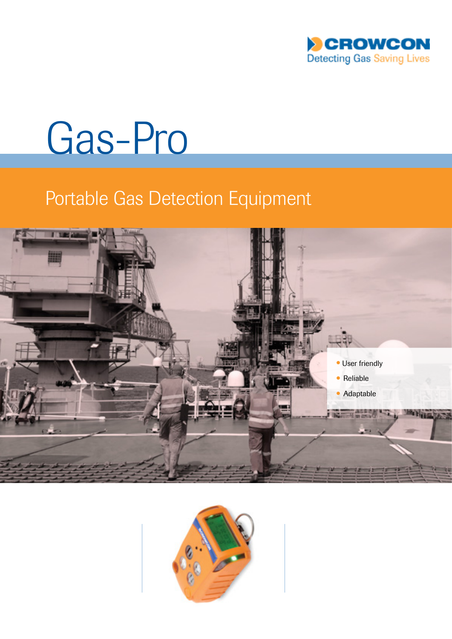

# Gas-Pro

# Portable Gas Detection Equipment



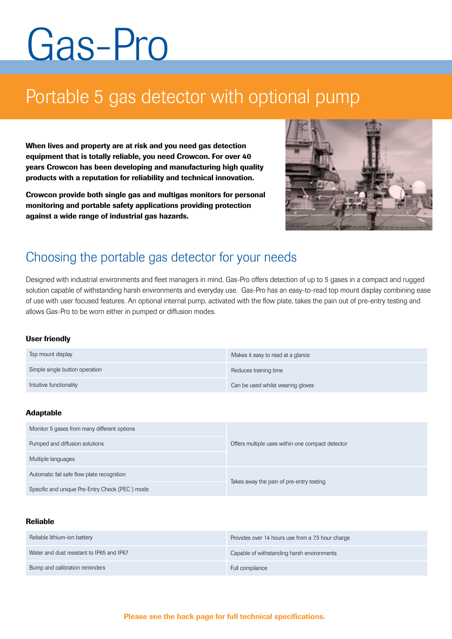# Gas-Pro

# Portable 5 gas detector with optional pump

When lives and property are at risk and you need gas detection equipment that is totally reliable, you need Crowcon. For over 40 years Crowcon has been developing and manufacturing high quality products with a reputation for reliability and technical innovation.

Crowcon provide both single gas and multigas monitors for personal monitoring and portable safety applications providing protection against a wide range of industrial gas hazards.



## Choosing the portable gas detector for your needs

Designed with industrial environments and fleet managers in mind, Gas-Pro offers detection of up to 5 gases in a compact and rugged solution capable of withstanding harsh environments and everyday use. Gas-Pro has an easy-to-read top mount display combining ease of use with user focused features. An optional internal pump, activated with the flow plate, takes the pain out of pre-entry testing and allows Gas-Pro to be worn either in pumped or diffusion modes.

#### User friendly

| Top mount display              | Makes it easy to read at a glance |
|--------------------------------|-----------------------------------|
| Simple single button operation | Reduces training time             |
| Intuitive functionality        | Can be used whilst wearing gloves |

#### Adaptable

| Monitor 5 gases from many different options    | Offers multiple uses within one compact detector |  |
|------------------------------------------------|--------------------------------------------------|--|
| Pumped and diffusion solutions                 |                                                  |  |
| Multiple languages                             |                                                  |  |
| Automatic fail safe flow plate recognition     | Takes away the pain of pre-entry testing         |  |
| Specific and unique Pre-Entry Check (PEC) mode |                                                  |  |

#### Reliable

| Reliable lithium-ion battery              | Provides over 14 hours use from a 7.5 hour charge |
|-------------------------------------------|---------------------------------------------------|
| Water and dust resistant to IP65 and IP67 | Capable of withstanding harsh environments        |
| Bump and calibration reminders            | Full compliance                                   |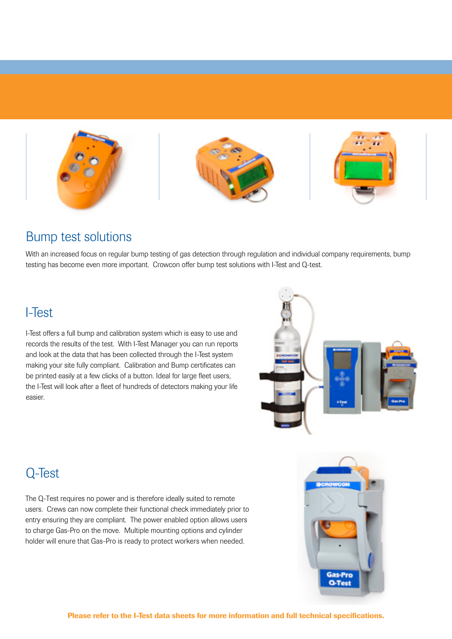

### Bump test solutions

With an increased focus on regular bump testing of gas detection through regulation and individual company requirements, bump testing has become even more important. Crowcon offer bump test solutions with I-Test and Q-test.

### I-Test

I-Test offers a full bump and calibration system which is easy to use and records the results of the test. With I-Test Manager you can run reports and look at the data that has been collected through the I-Test system making your site fully compliant. Calibration and Bump certificates can be printed easily at a few clicks of a button. Ideal for large fleet users, the I-Test will look after a fleet of hundreds of detectors making your life easier.



## Q-Test

The Q-Test requires no power and is therefore ideally suited to remote users. Crews can now complete their functional check immediately prior to entry ensuring they are compliant. The power enabled option allows users to charge Gas-Pro on the move. Multiple mounting options and cylinder holder will enure that Gas-Pro is ready to protect workers when needed.